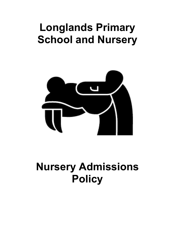## **Longlands Primary School and Nursery**



## **Nursery Admissions Policy**